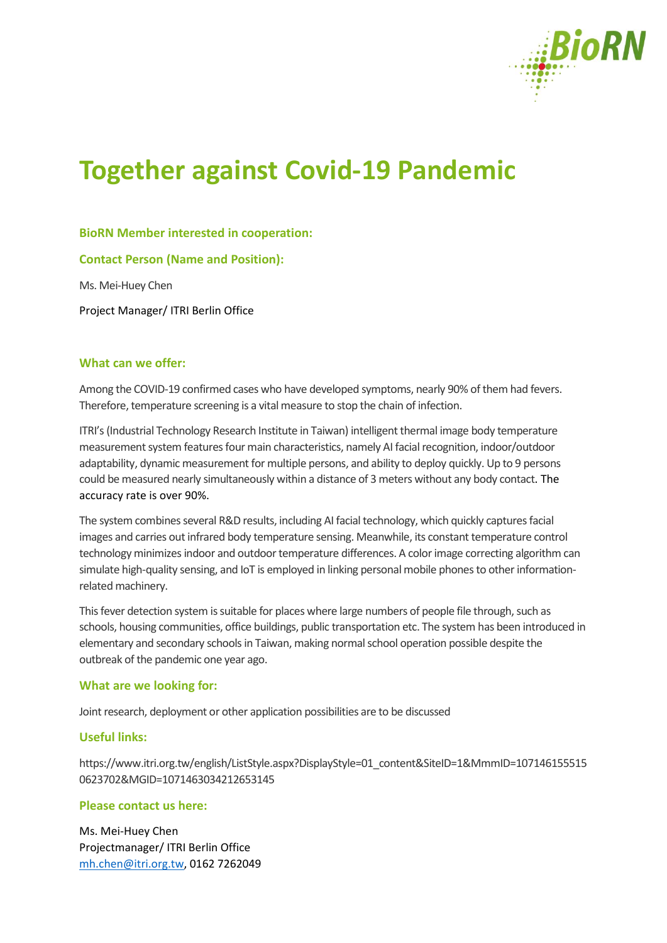

# **Together against Covid-19 Pandemic**

# **BioRN Member interested in cooperation:**

**Contact Person (Name and Position):**

Ms. Mei-Huey Chen

Project Manager/ ITRI Berlin Office

### **What can we offer:**

Among the COVID-19 confirmed cases who have developed symptoms, nearly 90% of them had fevers. Therefore, temperature screening is a vital measure to stop the chain of infection.

ITRI's (Industrial Technology Research Institute in Taiwan) intelligent thermal image body temperature measurement system featuresfour main characteristics, namely AI facial recognition, indoor/outdoor adaptability, dynamic measurement for multiple persons, and ability to deploy quickly. Up to 9 persons could be measured nearly simultaneously within a distance of 3 meters without any body contact. The accuracy rate is over 90%.

The system combines several R&D results, including AI facial technology, which quickly captures facial images and carries out infrared body temperature sensing. Meanwhile, its constant temperature control technology minimizes indoor and outdoor temperature differences. A color image correcting algorithm can simulate high-quality sensing, and IoT is employed in linking personal mobile phones to other informationrelated machinery.

This fever detection system is suitable for places where large numbers of people file through, such as schools, housing communities, office buildings, public transportation etc. The system has been introduced in elementary and secondary schools in Taiwan, making normal school operation possible despite the outbreak of the pandemic one year ago.

### **What are we looking for:**

Joint research, deployment or other application possibilities are to be discussed

# **Useful links:**

https://www.itri.org.tw/english/ListStyle.aspx?DisplayStyle=01\_content&SiteID=1&MmmID=107146155515 0623702&MGID=1071463034212653145

### **Please contact us here:**

Ms. Mei-Huey Chen Projectmanager/ ITRI Berlin Office [mh.chen@itri.org.tw,](mailto:mh.chen@itri.org.tw) 0162 7262049